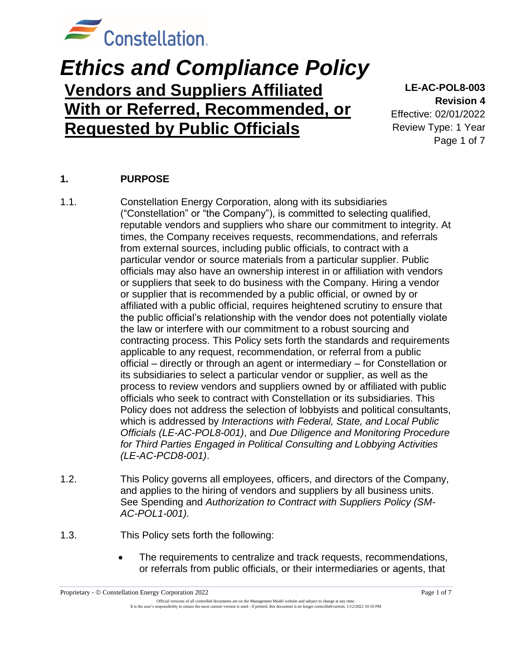

# *Ethics and Compliance Policy* **Vendors and Suppliers Affiliated With or Referred, Recommended, or Requested by Public Officials**

**LE-AC-POL8-003 Revision 4** Effective: 02/01/2022

Review Type: 1 Year Page 1 of 7

### **1. PURPOSE**

- 1.1. Constellation Energy Corporation, along with its subsidiaries ("Constellation" or "the Company"), is committed to selecting qualified, reputable vendors and suppliers who share our commitment to integrity. At times, the Company receives requests, recommendations, and referrals from external sources, including public officials, to contract with a particular vendor or source materials from a particular supplier. Public officials may also have an ownership interest in or affiliation with vendors or suppliers that seek to do business with the Company. Hiring a vendor or supplier that is recommended by a public official, or owned by or affiliated with a public official, requires heightened scrutiny to ensure that the public official's relationship with the vendor does not potentially violate the law or interfere with our commitment to a robust sourcing and contracting process. This Policy sets forth the standards and requirements applicable to any request, recommendation, or referral from a public official – directly or through an agent or intermediary – for Constellation or its subsidiaries to select a particular vendor or supplier, as well as the process to review vendors and suppliers owned by or affiliated with public officials who seek to contract with Constellation or its subsidiaries. This Policy does not address the selection of lobbyists and political consultants, which is addressed by *Interactions with Federal, State, and Local Public Officials (LE-AC-POL8-001)*, and *Due Diligence and Monitoring Procedure for Third Parties Engaged in Political Consulting and Lobbying Activities (LE-AC-PCD8-001)*.
- 1.2. This Policy governs all employees, officers, and directors of the Company, and applies to the hiring of vendors and suppliers by all business units. See Spending and *Authorization to Contract with Suppliers Policy (SM-AC-POL1-001).*
- 1.3. This Policy sets forth the following:
	- The requirements to centralize and track requests, recommendations, or referrals from public officials, or their intermediaries or agents, that

Official versions of all controlled documents are on the Management Model website and subject to change at any time. It is the user's responsibility to ensure the most current version is used - if printed, this document is no longer controlled/current, 1/12/2022 10:10 PM

Proprietary - © Constellation Energy Corporation 2022 Page 1 of 7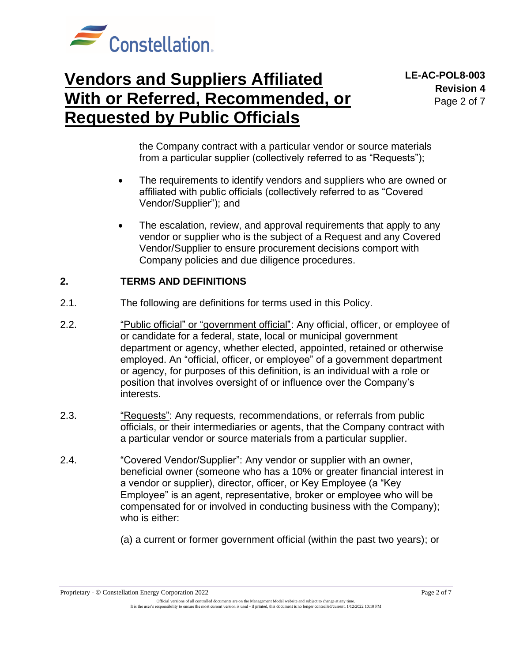

the Company contract with a particular vendor or source materials from a particular supplier (collectively referred to as "Requests");

- The requirements to identify vendors and suppliers who are owned or affiliated with public officials (collectively referred to as "Covered Vendor/Supplier"); and
- The escalation, review, and approval requirements that apply to any vendor or supplier who is the subject of a Request and any Covered Vendor/Supplier to ensure procurement decisions comport with Company policies and due diligence procedures.

### **2. TERMS AND DEFINITIONS**

- 2.1. The following are definitions for terms used in this Policy.
- 2.2. "Public official" or "government official": Any official, officer, or employee of or candidate for a federal, state, local or municipal government department or agency, whether elected, appointed, retained or otherwise employed. An "official, officer, or employee" of a government department or agency, for purposes of this definition, is an individual with a role or position that involves oversight of or influence over the Company's interests.
- 2.3. "Requests": Any requests, recommendations, or referrals from public officials, or their intermediaries or agents, that the Company contract with a particular vendor or source materials from a particular supplier.
- 2.4. "Covered Vendor/Supplier": Any vendor or supplier with an owner, beneficial owner (someone who has a 10% or greater financial interest in a vendor or supplier), director, officer, or Key Employee (a "Key Employee" is an agent, representative, broker or employee who will be compensated for or involved in conducting business with the Company); who is either:
	- (a) a current or former government official (within the past two years); or

Proprietary - © Constellation Energy Corporation 2022 Page 2 of 7

Official versions of all controlled documents are on the Management Model website and subject to change at any time. It is the user's responsibility to ensure the most current version is used - if printed, this document is no longer controlled/current, 1/12/2022 10:10 PM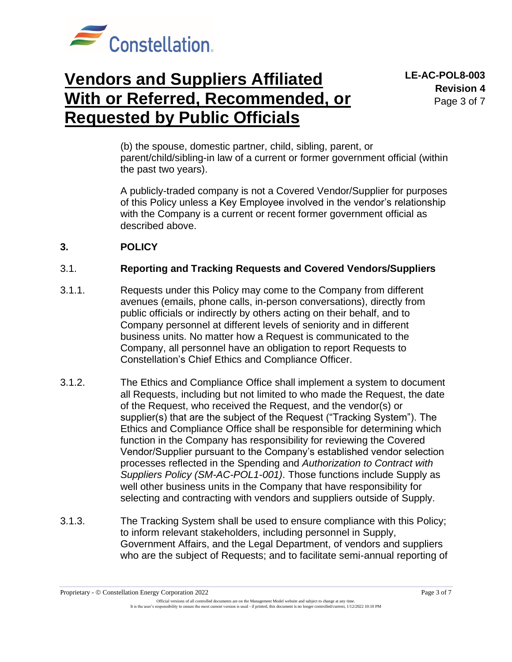

(b) the spouse, domestic partner, child, sibling, parent, or parent/child/sibling-in law of a current or former government official (within the past two years).

A publicly-traded company is not a Covered Vendor/Supplier for purposes of this Policy unless a Key Employee involved in the vendor's relationship with the Company is a current or recent former government official as described above.

### **3. POLICY**

#### 3.1. **Reporting and Tracking Requests and Covered Vendors/Suppliers**

- 3.1.1. Requests under this Policy may come to the Company from different avenues (emails, phone calls, in-person conversations), directly from public officials or indirectly by others acting on their behalf, and to Company personnel at different levels of seniority and in different business units. No matter how a Request is communicated to the Company, all personnel have an obligation to report Requests to Constellation's Chief Ethics and Compliance Officer.
- 3.1.2. The Ethics and Compliance Office shall implement a system to document all Requests, including but not limited to who made the Request, the date of the Request, who received the Request, and the vendor(s) or supplier(s) that are the subject of the Request ("Tracking System"). The Ethics and Compliance Office shall be responsible for determining which function in the Company has responsibility for reviewing the Covered Vendor/Supplier pursuant to the Company's established vendor selection processes reflected in the Spending and *Authorization to Contract with Suppliers Policy (SM-AC-POL1-001)*. Those functions include Supply as well other business units in the Company that have responsibility for selecting and contracting with vendors and suppliers outside of Supply.
- 3.1.3. The Tracking System shall be used to ensure compliance with this Policy; to inform relevant stakeholders, including personnel in Supply, Government Affairs, and the Legal Department, of vendors and suppliers who are the subject of Requests; and to facilitate semi-annual reporting of

Official versions of all controlled documents are on the Management Model website and subject to change at any time. It is the user's responsibility to ensure the most current version is used - if printed, this document is no longer controlled/current, 1/12/2022 10:10 PM

Proprietary - © Constellation Energy Corporation 2022 Page 3 of 7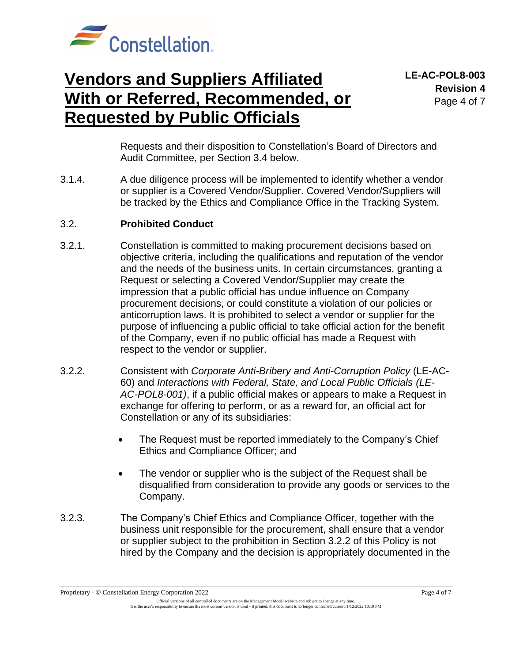

**LE-AC-POL8-003 Revision 4** Page 4 of 7

Requests and their disposition to Constellation's Board of Directors and Audit Committee, per Section 3.4 below.

3.1.4. A due diligence process will be implemented to identify whether a vendor or supplier is a Covered Vendor/Supplier. Covered Vendor/Suppliers will be tracked by the Ethics and Compliance Office in the Tracking System.

#### 3.2. **Prohibited Conduct**

- 3.2.1. Constellation is committed to making procurement decisions based on objective criteria, including the qualifications and reputation of the vendor and the needs of the business units. In certain circumstances, granting a Request or selecting a Covered Vendor/Supplier may create the impression that a public official has undue influence on Company procurement decisions, or could constitute a violation of our policies or anticorruption laws. It is prohibited to select a vendor or supplier for the purpose of influencing a public official to take official action for the benefit of the Company, even if no public official has made a Request with respect to the vendor or supplier.
- 3.2.2. Consistent with *Corporate Anti-Bribery and Anti-Corruption Policy* (LE-AC-60) and *Interactions with Federal, State, and Local Public Officials (LE-AC-POL8-001)*, if a public official makes or appears to make a Request in exchange for offering to perform, or as a reward for, an official act for Constellation or any of its subsidiaries:
	- The Request must be reported immediately to the Company's Chief Ethics and Compliance Officer; and
	- The vendor or supplier who is the subject of the Request shall be disqualified from consideration to provide any goods or services to the Company.
- 3.2.3. The Company's Chief Ethics and Compliance Officer, together with the business unit responsible for the procurement, shall ensure that a vendor or supplier subject to the prohibition in Section 3.2.2 of this Policy is not hired by the Company and the decision is appropriately documented in the

Proprietary - © Constellation Energy Corporation 2022 Page 4 of 7

Official versions of all controlled documents are on the Management Model website and subject to change at any time. It is the user's responsibility to ensure the most current version is used - if printed, this document is no longer controlled/current, 1/12/2022 10:10 PM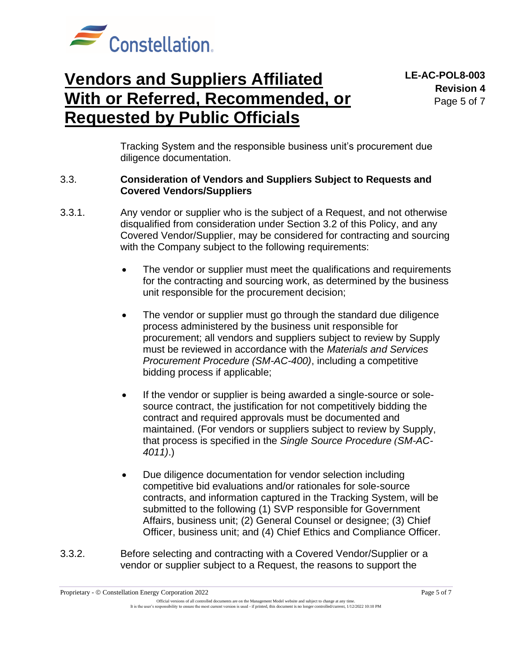

Tracking System and the responsible business unit's procurement due diligence documentation.

#### 3.3. **Consideration of Vendors and Suppliers Subject to Requests and Covered Vendors/Suppliers**

- 3.3.1. Any vendor or supplier who is the subject of a Request, and not otherwise disqualified from consideration under Section 3.2 of this Policy, and any Covered Vendor/Supplier, may be considered for contracting and sourcing with the Company subject to the following requirements:
	- The vendor or supplier must meet the qualifications and requirements for the contracting and sourcing work, as determined by the business unit responsible for the procurement decision;
	- The vendor or supplier must go through the standard due diligence process administered by the business unit responsible for procurement; all vendors and suppliers subject to review by Supply must be reviewed in accordance with the *Materials and Services Procurement Procedure (SM-AC-400)*, including a competitive bidding process if applicable;
	- If the vendor or supplier is being awarded a single-source or solesource contract, the justification for not competitively bidding the contract and required approvals must be documented and maintained. (For vendors or suppliers subject to review by Supply, that process is specified in the *Single Source Procedure (SM-AC-4011)*.)
	- Due diligence documentation for vendor selection including competitive bid evaluations and/or rationales for sole-source contracts, and information captured in the Tracking System, will be submitted to the following (1) SVP responsible for Government Affairs, business unit; (2) General Counsel or designee; (3) Chief Officer, business unit; and (4) Chief Ethics and Compliance Officer.
- 3.3.2. Before selecting and contracting with a Covered Vendor/Supplier or a vendor or supplier subject to a Request, the reasons to support the

Proprietary - © Constellation Energy Corporation 2022 Page 5 of 7

Official versions of all controlled documents are on the Management Model website and subject to change at any time. It is the user's responsibility to ensure the most current version is used - if printed, this document is no longer controlled/current, 1/12/2022 10:10 PM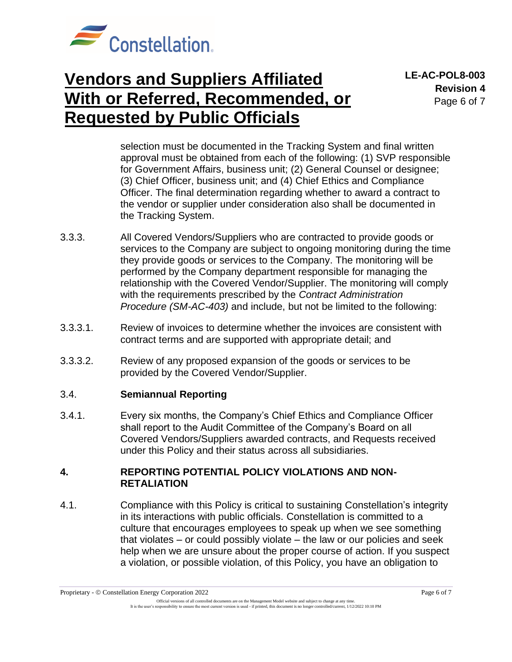

**LE-AC-POL8-003 Revision 4** Page 6 of 7

selection must be documented in the Tracking System and final written approval must be obtained from each of the following: (1) SVP responsible for Government Affairs, business unit; (2) General Counsel or designee; (3) Chief Officer, business unit; and (4) Chief Ethics and Compliance Officer. The final determination regarding whether to award a contract to the vendor or supplier under consideration also shall be documented in the Tracking System.

- 3.3.3. All Covered Vendors/Suppliers who are contracted to provide goods or services to the Company are subject to ongoing monitoring during the time they provide goods or services to the Company. The monitoring will be performed by the Company department responsible for managing the relationship with the Covered Vendor/Supplier. The monitoring will comply with the requirements prescribed by the *Contract Administration Procedure (SM-AC-403)* and include, but not be limited to the following:
- 3.3.3.1. Review of invoices to determine whether the invoices are consistent with contract terms and are supported with appropriate detail; and
- 3.3.3.2. Review of any proposed expansion of the goods or services to be provided by the Covered Vendor/Supplier.

#### 3.4. **Semiannual Reporting**

3.4.1. Every six months, the Company's Chief Ethics and Compliance Officer shall report to the Audit Committee of the Company's Board on all Covered Vendors/Suppliers awarded contracts, and Requests received under this Policy and their status across all subsidiaries.

### **4. REPORTING POTENTIAL POLICY VIOLATIONS AND NON-RETALIATION**

4.1. Compliance with this Policy is critical to sustaining Constellation's integrity in its interactions with public officials. Constellation is committed to a culture that encourages employees to speak up when we see something that violates – or could possibly violate – the law or our policies and seek help when we are unsure about the proper course of action. If you suspect a violation, or possible violation, of this Policy, you have an obligation to

Proprietary - © Constellation Energy Corporation 2022 Page 6 of 7

Official versions of all controlled documents are on the Management Model website and subject to change at any time. It is the user's responsibility to ensure the most current version is used - if printed, this document is no longer controlled/current, 1/12/2022 10:10 PM